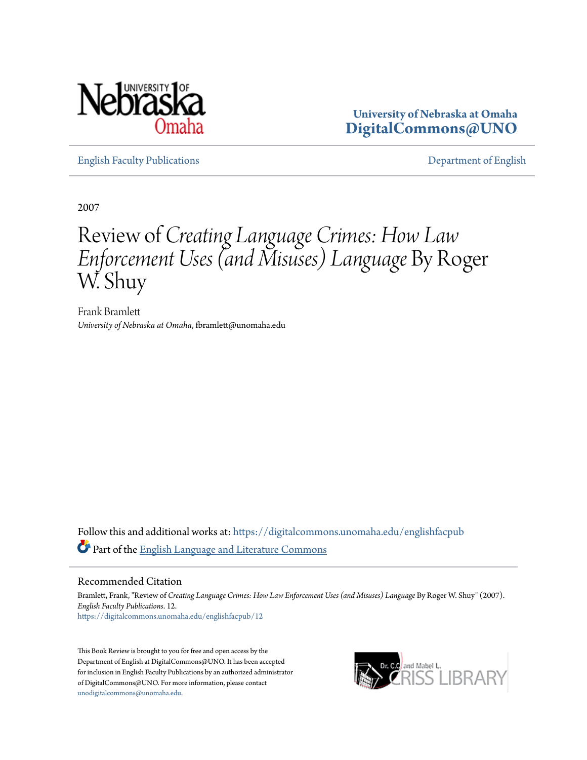

**University of Nebraska at Omaha [DigitalCommons@UNO](https://digitalcommons.unomaha.edu?utm_source=digitalcommons.unomaha.edu%2Fenglishfacpub%2F12&utm_medium=PDF&utm_campaign=PDFCoverPages)**

[English Faculty Publications](https://digitalcommons.unomaha.edu/englishfacpub?utm_source=digitalcommons.unomaha.edu%2Fenglishfacpub%2F12&utm_medium=PDF&utm_campaign=PDFCoverPages) [Department of English](https://digitalcommons.unomaha.edu/english?utm_source=digitalcommons.unomaha.edu%2Fenglishfacpub%2F12&utm_medium=PDF&utm_campaign=PDFCoverPages)

2007

# Review of *Creating Language Crimes: How Law Enforcement Uses (and Misuses) Language* By Roger W. Shuy

Frank Bramlett *University of Nebraska at Omaha*, fbramlett@unomaha.edu

Follow this and additional works at: [https://digitalcommons.unomaha.edu/englishfacpub](https://digitalcommons.unomaha.edu/englishfacpub?utm_source=digitalcommons.unomaha.edu%2Fenglishfacpub%2F12&utm_medium=PDF&utm_campaign=PDFCoverPages) Part of the [English Language and Literature Commons](http://network.bepress.com/hgg/discipline/455?utm_source=digitalcommons.unomaha.edu%2Fenglishfacpub%2F12&utm_medium=PDF&utm_campaign=PDFCoverPages)

## Recommended Citation

Bramlett, Frank, "Review of *Creating Language Crimes: How Law Enforcement Uses (and Misuses) Language* By Roger W. Shuy" (2007). *English Faculty Publications*. 12. [https://digitalcommons.unomaha.edu/englishfacpub/12](https://digitalcommons.unomaha.edu/englishfacpub/12?utm_source=digitalcommons.unomaha.edu%2Fenglishfacpub%2F12&utm_medium=PDF&utm_campaign=PDFCoverPages)

This Book Review is brought to you for free and open access by the Department of English at DigitalCommons@UNO. It has been accepted for inclusion in English Faculty Publications by an authorized administrator of DigitalCommons@UNO. For more information, please contact [unodigitalcommons@unomaha.edu](mailto:unodigitalcommons@unomaha.edu).

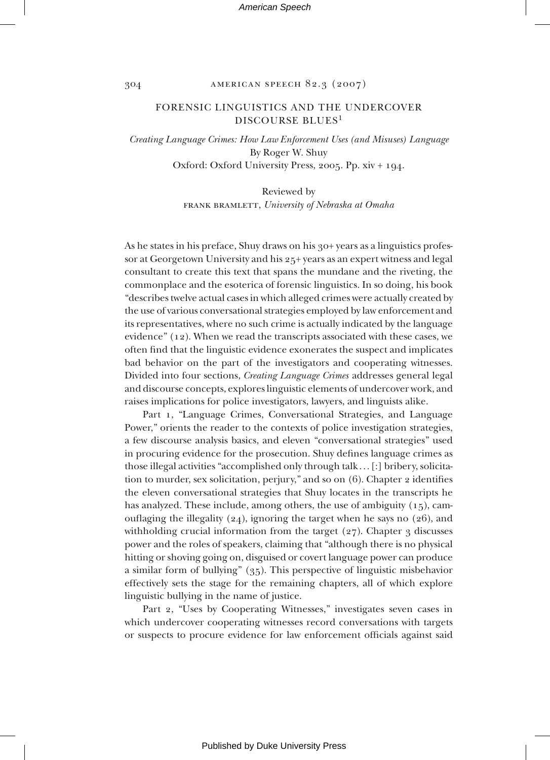#### 304 american speech 82.3 (2007)

## FORENSIC LINGUISTICS AND THE UNDERCOVER DISCOURSE BLUES<sup>1</sup>

*Creating Language Crimes: How Law Enforcement Uses (and Misuses) Language* By Roger W. Shuy Oxford: Oxford University Press, 2005. Pp. xiv + 194.

> Reviewed by frank bramlett, *University of Nebraska at Omaha*

As he states in his preface, Shuy draws on his 30+ years as a linguistics professor at Georgetown University and his 25+ years as an expert witness and legal consultant to create this text that spans the mundane and the riveting, the commonplace and the esoterica of forensic linguistics. In so doing, his book "describes twelve actual cases in which alleged crimes were actually created by the use of various conversational strategies employed by law enforcement and its representatives, where no such crime is actually indicated by the language evidence" (12). When we read the transcripts associated with these cases, we often find that the linguistic evidence exonerates the suspect and implicates bad behavior on the part of the investigators and cooperating witnesses. Divided into four sections, *Creating Language Crimes* addresses general legal and discourse concepts, explores linguistic elements of undercover work, and raises implications for police investigators, lawyers, and linguists alike.

Part 1, "Language Crimes, Conversational Strategies, and Language Power," orients the reader to the contexts of police investigation strategies, a few discourse analysis basics, and eleven "conversational strategies" used in procuring evidence for the prosecution. Shuy defines language crimes as those illegal activities "accomplished only through talk . . . [:] bribery, solicitation to murder, sex solicitation, perjury," and so on (6). Chapter 2 identifies the eleven conversational strategies that Shuy locates in the transcripts he has analyzed. These include, among others, the use of ambiguity  $(15)$ , camouflaging the illegality (24), ignoring the target when he says no (26), and withholding crucial information from the target  $(27)$ . Chapter 3 discusses power and the roles of speakers, claiming that "although there is no physical hitting or shoving going on, disguised or covert language power can produce a similar form of bullying" (35). This perspective of linguistic misbehavior effectively sets the stage for the remaining chapters, all of which explore linguistic bullying in the name of justice.

Part 2, "Uses by Cooperating Witnesses," investigates seven cases in which undercover cooperating witnesses record conversations with targets or suspects to procure evidence for law enforcement officials against said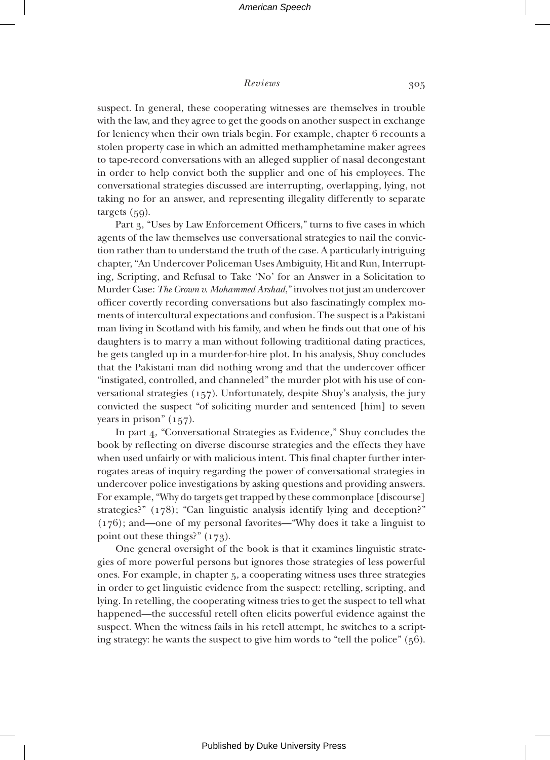#### *Reviews* 305

suspect. In general, these cooperating witnesses are themselves in trouble with the law, and they agree to get the goods on another suspect in exchange for leniency when their own trials begin. For example, chapter 6 recounts a stolen property case in which an admitted methamphetamine maker agrees to tape-record conversations with an alleged supplier of nasal decongestant in order to help convict both the supplier and one of his employees. The conversational strategies discussed are interrupting, overlapping, lying, not taking no for an answer, and representing illegality differently to separate targets (59).

Part 3, "Uses by Law Enforcement Officers," turns to five cases in which agents of the law themselves use conversational strategies to nail the conviction rather than to understand the truth of the case. A particularly intriguing chapter, "An Undercover Policeman Uses Ambiguity, Hit and Run, Interrupting, Scripting, and Refusal to Take 'No' for an Answer in a Solicitation to Murder Case: *The Crown v. Mohammed Arshad*," involves not just an undercover officer covertly recording conversations but also fascinatingly complex moments of intercultural expectations and confusion. The suspect is a Pakistani man living in Scotland with his family, and when he finds out that one of his daughters is to marry a man without following traditional dating practices, he gets tangled up in a murder-for-hire plot. In his analysis, Shuy concludes that the Pakistani man did nothing wrong and that the undercover officer "instigated, controlled, and channeled" the murder plot with his use of conversational strategies (157). Unfortunately, despite Shuy's analysis, the jury convicted the suspect "of soliciting murder and sentenced [him] to seven years in prison" (157).

In part 4, "Conversational Strategies as Evidence," Shuy concludes the book by reflecting on diverse discourse strategies and the effects they have when used unfairly or with malicious intent. This final chapter further interrogates areas of inquiry regarding the power of conversational strategies in undercover police investigations by asking questions and providing answers. For example, "Why do targets get trapped by these commonplace [discourse] strategies?" (178); "Can linguistic analysis identify lying and deception?" (176); and—one of my personal favorites—"Why does it take a linguist to point out these things?" (173).

One general oversight of the book is that it examines linguistic strategies of more powerful persons but ignores those strategies of less powerful ones. For example, in chapter 5, a cooperating witness uses three strategies in order to get linguistic evidence from the suspect: retelling, scripting, and lying. In retelling, the cooperating witness tries to get the suspect to tell what happened—the successful retell often elicits powerful evidence against the suspect. When the witness fails in his retell attempt, he switches to a scripting strategy: he wants the suspect to give him words to "tell the police" (56).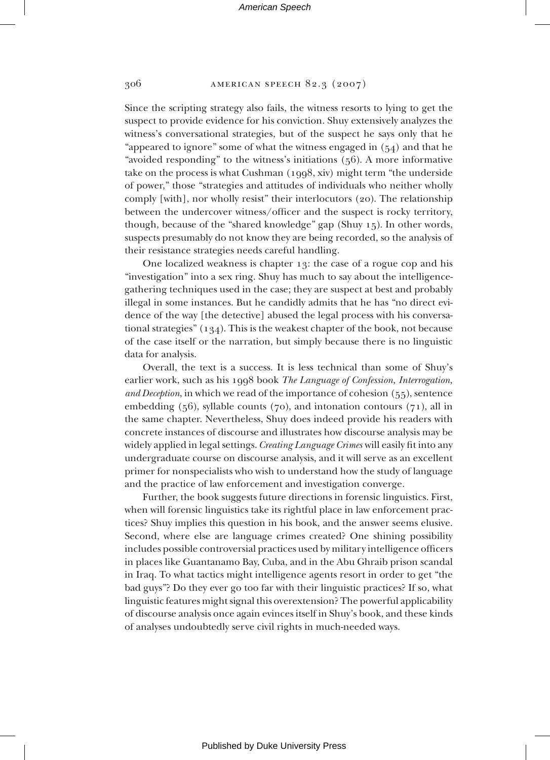## 306 american speech 82.3 (2007)

Since the scripting strategy also fails, the witness resorts to lying to get the suspect to provide evidence for his conviction. Shuy extensively analyzes the witness's conversational strategies, but of the suspect he says only that he "appeared to ignore" some of what the witness engaged in  $(54)$  and that he "avoided responding" to the witness's initiations (56). A more informative take on the process is what Cushman (1998, xiv) might term "the underside of power," those "strategies and attitudes of individuals who neither wholly comply [with], nor wholly resist" their interlocutors (20). The relationship between the undercover witness/officer and the suspect is rocky territory, though, because of the "shared knowledge" gap (Shuy 15). In other words, suspects presumably do not know they are being recorded, so the analysis of their resistance strategies needs careful handling.

One localized weakness is chapter 13: the case of a rogue cop and his "investigation" into a sex ring. Shuy has much to say about the intelligencegathering techniques used in the case; they are suspect at best and probably illegal in some instances. But he candidly admits that he has "no direct evidence of the way [the detective] abused the legal process with his conversational strategies" (134). This is the weakest chapter of the book, not because of the case itself or the narration, but simply because there is no linguistic data for analysis.

Overall, the text is a success. It is less technical than some of Shuy's earlier work, such as his 1998 book *The Language of Confession, Interrogation, and Deception*, in which we read of the importance of cohesion (55), sentence embedding  $(56)$ , syllable counts  $(70)$ , and intonation contours  $(71)$ , all in the same chapter. Nevertheless, Shuy does indeed provide his readers with concrete instances of discourse and illustrates how discourse analysis may be widely applied in legal settings. *Creating Language Crimes* will easily fit into any undergraduate course on discourse analysis, and it will serve as an excellent primer for nonspecialists who wish to understand how the study of language and the practice of law enforcement and investigation converge.

Further, the book suggests future directions in forensic linguistics. First, when will forensic linguistics take its rightful place in law enforcement practices? Shuy implies this question in his book, and the answer seems elusive. Second, where else are language crimes created? One shining possibility includes possible controversial practices used by military intelligence officers in places like Guantanamo Bay, Cuba, and in the Abu Ghraib prison scandal in Iraq. To what tactics might intelligence agents resort in order to get "the bad guys"? Do they ever go too far with their linguistic practices? If so, what linguistic features might signal this overextension? The powerful applicability of discourse analysis once again evinces itself in Shuy's book, and these kinds of analyses undoubtedly serve civil rights in much-needed ways.